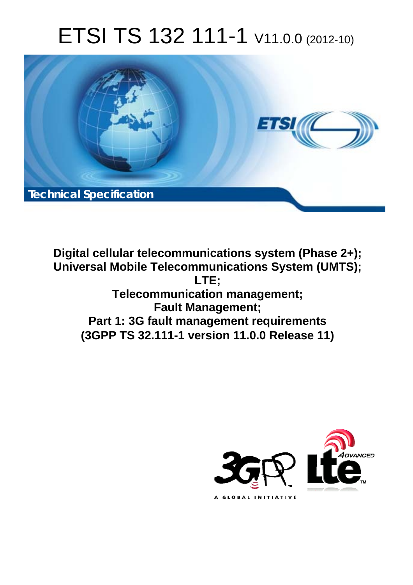# ETSI TS 132 111-1 V11.0.0 (2012-10)



**Digital cellular telecommunications system (Phase 2+); Universal Mobile Telecommunications System (UMTS); LTE; Telecommunication management; Fault Management; Part 1: 3G fault management requirements (3GPP TS 32.111-1 version 11.0.0 Release 11)** 

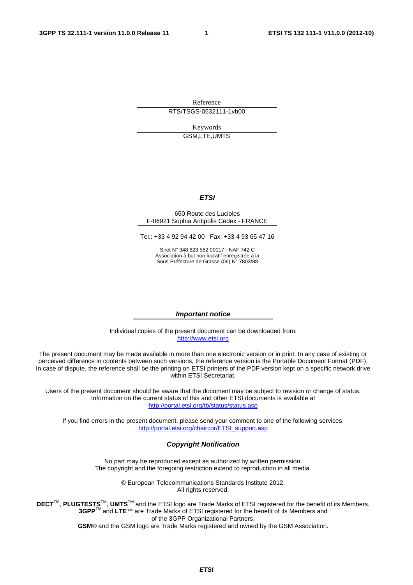Reference

RTS/TSGS-0532111-1vb00

Keywords GSM,LTE,UMTS

#### *ETSI*

#### 650 Route des Lucioles F-06921 Sophia Antipolis Cedex - FRANCE

Tel.: +33 4 92 94 42 00 Fax: +33 4 93 65 47 16

Siret N° 348 623 562 00017 - NAF 742 C Association à but non lucratif enregistrée à la Sous-Préfecture de Grasse (06) N° 7803/88

#### *Important notice*

Individual copies of the present document can be downloaded from: [http://www.etsi.org](http://www.etsi.org/)

The present document may be made available in more than one electronic version or in print. In any case of existing or perceived difference in contents between such versions, the reference version is the Portable Document Format (PDF). In case of dispute, the reference shall be the printing on ETSI printers of the PDF version kept on a specific network drive within ETSI Secretariat.

Users of the present document should be aware that the document may be subject to revision or change of status. Information on the current status of this and other ETSI documents is available at <http://portal.etsi.org/tb/status/status.asp>

If you find errors in the present document, please send your comment to one of the following services: [http://portal.etsi.org/chaircor/ETSI\\_support.asp](http://portal.etsi.org/chaircor/ETSI_support.asp)

#### *Copyright Notification*

No part may be reproduced except as authorized by written permission. The copyright and the foregoing restriction extend to reproduction in all media.

> © European Telecommunications Standards Institute 2012. All rights reserved.

**DECT**TM, **PLUGTESTS**TM, **UMTS**TM and the ETSI logo are Trade Marks of ETSI registered for the benefit of its Members. **3GPP**TM and **LTE**™ are Trade Marks of ETSI registered for the benefit of its Members and of the 3GPP Organizational Partners.

**GSM**® and the GSM logo are Trade Marks registered and owned by the GSM Association.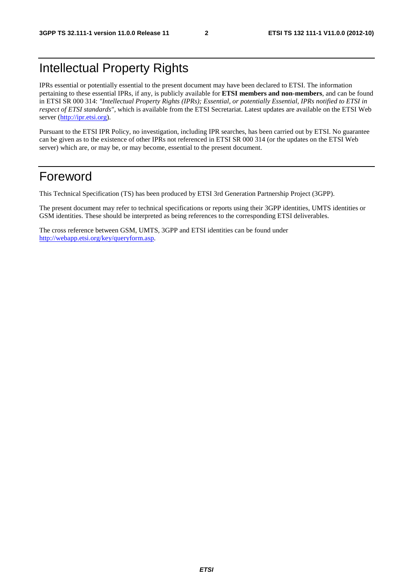# Intellectual Property Rights

IPRs essential or potentially essential to the present document may have been declared to ETSI. The information pertaining to these essential IPRs, if any, is publicly available for **ETSI members and non-members**, and can be found in ETSI SR 000 314: *"Intellectual Property Rights (IPRs); Essential, or potentially Essential, IPRs notified to ETSI in respect of ETSI standards"*, which is available from the ETSI Secretariat. Latest updates are available on the ETSI Web server ([http://ipr.etsi.org\)](http://webapp.etsi.org/IPR/home.asp).

Pursuant to the ETSI IPR Policy, no investigation, including IPR searches, has been carried out by ETSI. No guarantee can be given as to the existence of other IPRs not referenced in ETSI SR 000 314 (or the updates on the ETSI Web server) which are, or may be, or may become, essential to the present document.

### Foreword

This Technical Specification (TS) has been produced by ETSI 3rd Generation Partnership Project (3GPP).

The present document may refer to technical specifications or reports using their 3GPP identities, UMTS identities or GSM identities. These should be interpreted as being references to the corresponding ETSI deliverables.

The cross reference between GSM, UMTS, 3GPP and ETSI identities can be found under [http://webapp.etsi.org/key/queryform.asp.](http://webapp.etsi.org/key/queryform.asp)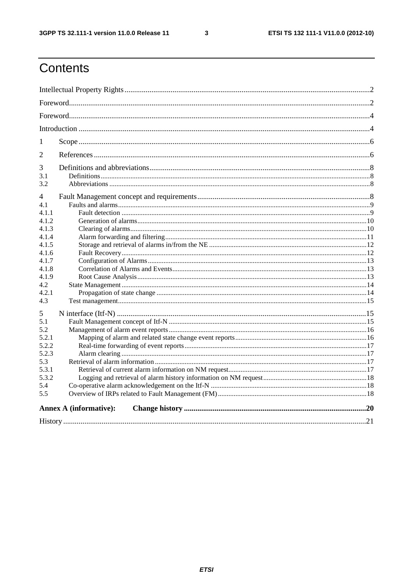$\mathbf{3}$ 

# Contents

| 1     |                               |  |  |  |  |  |
|-------|-------------------------------|--|--|--|--|--|
| 2     |                               |  |  |  |  |  |
| 3     |                               |  |  |  |  |  |
| 3.1   |                               |  |  |  |  |  |
| 3.2   |                               |  |  |  |  |  |
| 4     |                               |  |  |  |  |  |
| 4.1   |                               |  |  |  |  |  |
| 4.1.1 |                               |  |  |  |  |  |
| 4.1.2 |                               |  |  |  |  |  |
| 4.1.3 |                               |  |  |  |  |  |
| 4.1.4 |                               |  |  |  |  |  |
| 4.1.5 |                               |  |  |  |  |  |
| 4.1.6 |                               |  |  |  |  |  |
| 4.1.7 |                               |  |  |  |  |  |
| 4.1.8 |                               |  |  |  |  |  |
| 4.1.9 |                               |  |  |  |  |  |
| 4.2   |                               |  |  |  |  |  |
| 4.2.1 |                               |  |  |  |  |  |
| 4.3   |                               |  |  |  |  |  |
| 5     |                               |  |  |  |  |  |
| 5.1   |                               |  |  |  |  |  |
| 5.2   |                               |  |  |  |  |  |
| 5.2.1 |                               |  |  |  |  |  |
| 5.2.2 |                               |  |  |  |  |  |
| 5.2.3 |                               |  |  |  |  |  |
| 5.3   |                               |  |  |  |  |  |
| 5.3.1 |                               |  |  |  |  |  |
| 5.3.2 |                               |  |  |  |  |  |
| 5.4   |                               |  |  |  |  |  |
| 5.5   |                               |  |  |  |  |  |
|       | <b>Annex A (informative):</b> |  |  |  |  |  |
|       |                               |  |  |  |  |  |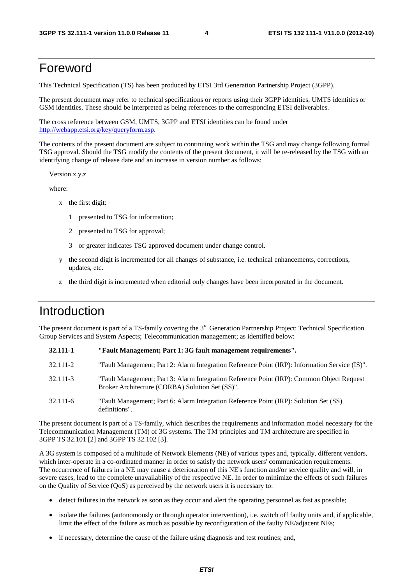#### Foreword

This Technical Specification (TS) has been produced by ETSI 3rd Generation Partnership Project (3GPP).

The present document may refer to technical specifications or reports using their 3GPP identities, UMTS identities or GSM identities. These should be interpreted as being references to the corresponding ETSI deliverables.

The cross reference between GSM, UMTS, 3GPP and ETSI identities can be found under [http://webapp.etsi.org/key/queryform.asp.](http://webapp.etsi.org/key/queryform.asp)

The contents of the present document are subject to continuing work within the TSG and may change following formal TSG approval. Should the TSG modify the contents of the present document, it will be re-released by the TSG with an identifying change of release date and an increase in version number as follows:

Version x.y.z

where:

- x the first digit:
	- 1 presented to TSG for information;
	- 2 presented to TSG for approval;
	- 3 or greater indicates TSG approved document under change control.
- y the second digit is incremented for all changes of substance, i.e. technical enhancements, corrections, updates, etc.
- the third digit is incremented when editorial only changes have been incorporated in the document.

### Introduction

The present document is part of a TS-family covering the  $3<sup>rd</sup>$  Generation Partnership Project: Technical Specification Group Services and System Aspects; Telecommunication management; as identified below:

| 32.111-1     | "Fault Management; Part 1: 3G fault management requirements".                                                                                |
|--------------|----------------------------------------------------------------------------------------------------------------------------------------------|
| 32.111-2     | "Fault Management; Part 2: Alarm Integration Reference Point (IRP): Information Service (IS)".                                               |
| 32.111-3     | "Fault Management; Part 3: Alarm Integration Reference Point (IRP): Common Object Request<br>Broker Architecture (CORBA) Solution Set (SS)". |
| $32.111 - 6$ | "Fault Management; Part 6: Alarm Integration Reference Point (IRP): Solution Set (SS)<br>definitions".                                       |

The present document is part of a TS-family, which describes the requirements and information model necessary for the Telecommunication Management (TM) of 3G systems. The TM principles and TM architecture are specified in 3GPP TS 32.101 [2] and 3GPP TS 32.102 [3].

A 3G system is composed of a multitude of Network Elements (NE) of various types and, typically, different vendors, which inter-operate in a co-ordinated manner in order to satisfy the network users' communication requirements. The occurrence of failures in a NE may cause a deterioration of this NE's function and/or service quality and will, in severe cases, lead to the complete unavailability of the respective NE. In order to minimize the effects of such failures on the Quality of Service (QoS) as perceived by the network users it is necessary to:

- detect failures in the network as soon as they occur and alert the operating personnel as fast as possible;
- isolate the failures (autonomously or through operator intervention), i.e. switch off faulty units and, if applicable, limit the effect of the failure as much as possible by reconfiguration of the faulty NE/adjacent NEs;
- if necessary, determine the cause of the failure using diagnosis and test routines; and,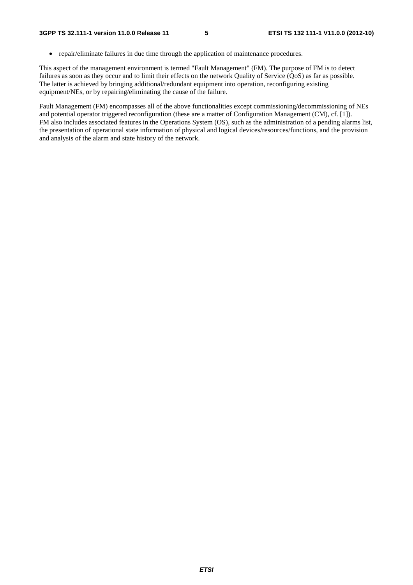• repair/eliminate failures in due time through the application of maintenance procedures.

This aspect of the management environment is termed "Fault Management" (FM). The purpose of FM is to detect failures as soon as they occur and to limit their effects on the network Quality of Service (QoS) as far as possible. The latter is achieved by bringing additional/redundant equipment into operation, reconfiguring existing equipment/NEs, or by repairing/eliminating the cause of the failure.

Fault Management (FM) encompasses all of the above functionalities except commissioning/decommissioning of NEs and potential operator triggered reconfiguration (these are a matter of Configuration Management (CM), cf. [1]). FM also includes associated features in the Operations System (OS), such as the administration of a pending alarms list, the presentation of operational state information of physical and logical devices/resources/functions, and the provision and analysis of the alarm and state history of the network.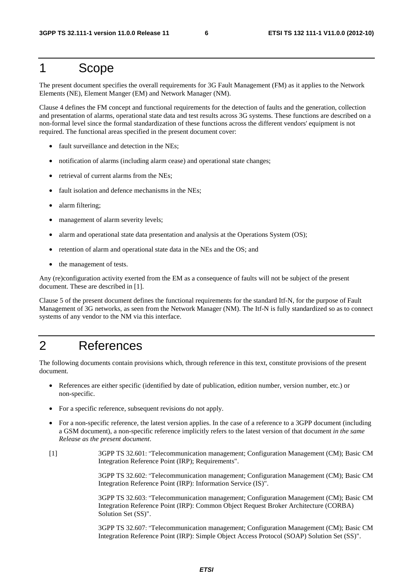#### 1 Scope

The present document specifies the overall requirements for 3G Fault Management (FM) as it applies to the Network Elements (NE), Element Manger (EM) and Network Manager (NM).

Clause 4 defines the FM concept and functional requirements for the detection of faults and the generation, collection and presentation of alarms, operational state data and test results across 3G systems. These functions are described on a non-formal level since the formal standardization of these functions across the different vendors' equipment is not required. The functional areas specified in the present document cover:

- fault surveillance and detection in the NEs;
- notification of alarms (including alarm cease) and operational state changes;
- retrieval of current alarms from the NEs;
- fault isolation and defence mechanisms in the NEs;
- alarm filtering;
- management of alarm severity levels;
- alarm and operational state data presentation and analysis at the Operations System (OS);
- retention of alarm and operational state data in the NEs and the OS; and
- the management of tests.

Any (re)configuration activity exerted from the EM as a consequence of faults will not be subject of the present document. These are described in [1].

Clause 5 of the present document defines the functional requirements for the standard Itf-N, for the purpose of Fault Management of 3G networks, as seen from the Network Manager (NM). The Itf-N is fully standardized so as to connect systems of any vendor to the NM via this interface.

#### 2 References

The following documents contain provisions which, through reference in this text, constitute provisions of the present document.

- References are either specific (identified by date of publication, edition number, version number, etc.) or non-specific.
- For a specific reference, subsequent revisions do not apply.
- For a non-specific reference, the latest version applies. In the case of a reference to a 3GPP document (including a GSM document), a non-specific reference implicitly refers to the latest version of that document *in the same Release as the present document*.
- [1] 3GPP TS 32.601: "Telecommunication management; Configuration Management (CM); Basic CM Integration Reference Point (IRP); Requirements".

 3GPP TS 32.602: "Telecommunication management; Configuration Management (CM); Basic CM Integration Reference Point (IRP): Information Service (IS)".

 3GPP TS 32.603: "Telecommunication management; Configuration Management (CM); Basic CM Integration Reference Point (IRP): Common Object Request Broker Architecture (CORBA) Solution Set (SS)".

 3GPP TS 32.607: "Telecommunication management; Configuration Management (CM); Basic CM Integration Reference Point (IRP): Simple Object Access Protocol (SOAP) Solution Set (SS)".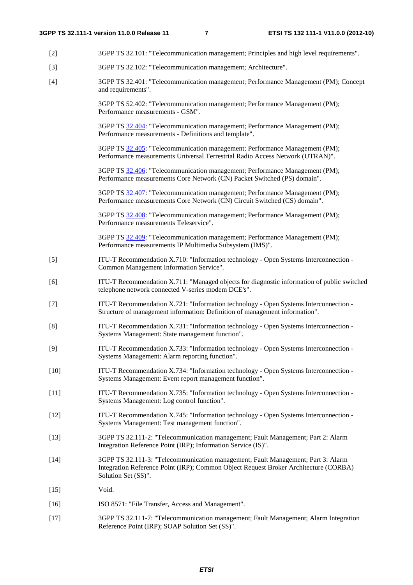- [2] 3GPP TS 32.101: "Telecommunication management; Principles and high level requirements".
- [3] 3GPP TS 32.102: "Telecommunication management; Architecture".
- [4] 3GPP TS 32.401: "Telecommunication management; Performance Management (PM); Concept and requirements".

 3GPP TS 52.402: "Telecommunication management; Performance Management (PM); Performance measurements - GSM".

 3GPP TS [32.404:](http://www.3gpp.org/ftp/Specs/html-info/32404.htm) "Telecommunication management; Performance Management (PM); Performance measurements - Definitions and template".

 3GPP TS [32.405:](http://www.3gpp.org/ftp/Specs/html-info/32405.htm) "Telecommunication management; Performance Management (PM); Performance measurements Universal Terrestrial Radio Access Network (UTRAN)".

 3GPP TS [32.406:](http://www.3gpp.org/ftp/Specs/html-info/32406.htm) "Telecommunication management; Performance Management (PM); Performance measurements Core Network (CN) Packet Switched (PS) domain".

 3GPP TS [32.407:](http://www.3gpp.org/ftp/Specs/html-info/32407.htm) "Telecommunication management; Performance Management (PM); Performance measurements Core Network (CN) Circuit Switched (CS) domain".

 3GPP TS [32.408:](http://www.3gpp.org/ftp/Specs/html-info/32408.htm) "Telecommunication management; Performance Management (PM); Performance measurements Teleservice".

 3GPP TS [32.409:](http://www.3gpp.org/ftp/Specs/html-info/32409.htm) "Telecommunication management; Performance Management (PM); Performance measurements IP Multimedia Subsystem (IMS)".

- [5] ITU-T Recommendation X.710: "Information technology Open Systems Interconnection Common Management Information Service".
- [6] ITU-T Recommendation X.711: "Managed objects for diagnostic information of public switched telephone network connected V-series modem DCE's".
- [7] ITU-T Recommendation X.721: "Information technology Open Systems Interconnection Structure of management information: Definition of management information".
- [8] ITU-T Recommendation X.731: "Information technology Open Systems Interconnection Systems Management: State management function".
- [9] ITU-T Recommendation X.733: "Information technology Open Systems Interconnection Systems Management: Alarm reporting function".
- [10] ITU-T Recommendation X.734: "Information technology Open Systems Interconnection Systems Management: Event report management function".
- [11] ITU-T Recommendation X.735: "Information technology Open Systems Interconnection Systems Management: Log control function".
- [12] ITU-T Recommendation X.745: "Information technology Open Systems Interconnection Systems Management: Test management function".
- [13] 3GPP TS 32.111-2: "Telecommunication management; Fault Management; Part 2: Alarm Integration Reference Point (IRP); Information Service (IS)".
- [14] 3GPP TS 32.111-3: "Telecommunication management; Fault Management; Part 3: Alarm Integration Reference Point (IRP); Common Object Request Broker Architecture (CORBA) Solution Set (SS)".
- [15] Void.
- [16] ISO 8571: "File Transfer, Access and Management".
- [17] 3GPP TS 32.111-7: "Telecommunication management; Fault Management; Alarm Integration Reference Point (IRP); SOAP Solution Set (SS)".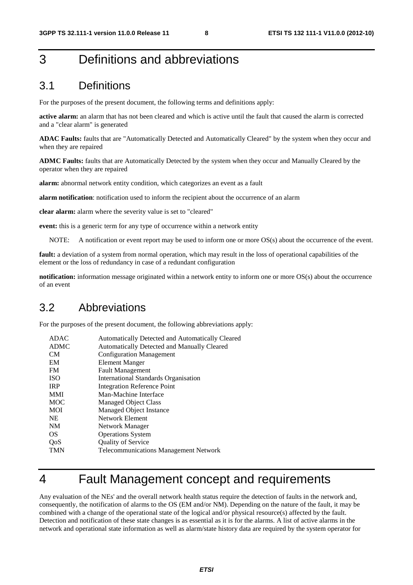# 3 Definitions and abbreviations

#### 3.1 Definitions

For the purposes of the present document, the following terms and definitions apply:

**active alarm:** an alarm that has not been cleared and which is active until the fault that caused the alarm is corrected and a "clear alarm" is generated

**ADAC Faults:** faults that are "Automatically Detected and Automatically Cleared" by the system when they occur and when they are repaired

**ADMC Faults:** faults that are Automatically Detected by the system when they occur and Manually Cleared by the operator when they are repaired

**alarm:** abnormal network entity condition, which categorizes an event as a fault

**alarm notification**: notification used to inform the recipient about the occurrence of an alarm

**clear alarm:** alarm where the severity value is set to "cleared"

**event:** this is a generic term for any type of occurrence within a network entity

NOTE: A notification or event report may be used to inform one or more OS(s) about the occurrence of the event.

**fault:** a deviation of a system from normal operation, which may result in the loss of operational capabilities of the element or the loss of redundancy in case of a redundant configuration

**notification:** information message originated within a network entity to inform one or more OS(s) about the occurrence of an event

#### 3.2 Abbreviations

For the purposes of the present document, the following abbreviations apply:

| <b>ADAC</b> | Automatically Detected and Automatically Cleared |
|-------------|--------------------------------------------------|
| <b>ADMC</b> | Automatically Detected and Manually Cleared      |
| CM          | <b>Configuration Management</b>                  |
| EM          | Element Manger                                   |
| <b>FM</b>   | <b>Fault Management</b>                          |
| <b>ISO</b>  | <b>International Standards Organisation</b>      |
| <b>IRP</b>  | <b>Integration Reference Point</b>               |
| <b>MMI</b>  | Man-Machine Interface                            |
| <b>MOC</b>  | <b>Managed Object Class</b>                      |
| <b>MOI</b>  | Managed Object Instance                          |
| <b>NE</b>   | Network Element                                  |
| <b>NM</b>   | Network Manager                                  |
| <b>OS</b>   | <b>Operations System</b>                         |
| QoS         | <b>Quality of Service</b>                        |
| <b>TMN</b>  | <b>Telecommunications Management Network</b>     |
|             |                                                  |

## 4 Fault Management concept and requirements

Any evaluation of the NEs' and the overall network health status require the detection of faults in the network and, consequently, the notification of alarms to the OS (EM and/or NM). Depending on the nature of the fault, it may be combined with a change of the operational state of the logical and/or physical resource(s) affected by the fault. Detection and notification of these state changes is as essential as it is for the alarms. A list of active alarms in the network and operational state information as well as alarm/state history data are required by the system operator for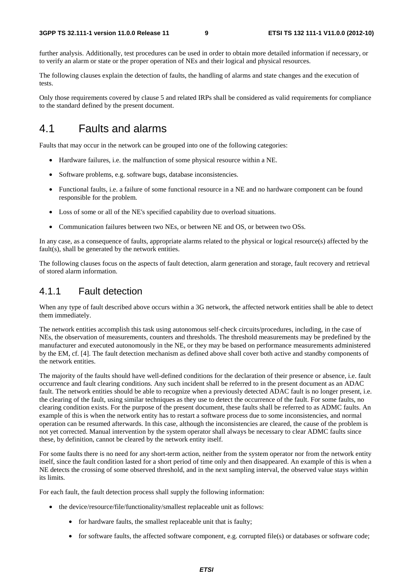further analysis. Additionally, test procedures can be used in order to obtain more detailed information if necessary, or to verify an alarm or state or the proper operation of NEs and their logical and physical resources.

The following clauses explain the detection of faults, the handling of alarms and state changes and the execution of tests.

Only those requirements covered by clause 5 and related IRPs shall be considered as valid requirements for compliance to the standard defined by the present document.

### 4.1 Faults and alarms

Faults that may occur in the network can be grouped into one of the following categories:

- Hardware failures, i.e. the malfunction of some physical resource within a NE.
- Software problems, e.g. software bugs, database inconsistencies.
- Functional faults, i.e. a failure of some functional resource in a NE and no hardware component can be found responsible for the problem.
- Loss of some or all of the NE's specified capability due to overload situations.
- Communication failures between two NEs, or between NE and OS, or between two OSs.

In any case, as a consequence of faults, appropriate alarms related to the physical or logical resource(s) affected by the fault(s), shall be generated by the network entities.

The following clauses focus on the aspects of fault detection, alarm generation and storage, fault recovery and retrieval of stored alarm information.

#### 4.1.1 Fault detection

When any type of fault described above occurs within a 3G network, the affected network entities shall be able to detect them immediately.

The network entities accomplish this task using autonomous self-check circuits/procedures, including, in the case of NEs, the observation of measurements, counters and thresholds. The threshold measurements may be predefined by the manufacturer and executed autonomously in the NE, or they may be based on performance measurements administered by the EM, cf. [4]. The fault detection mechanism as defined above shall cover both active and standby components of the network entities.

The majority of the faults should have well-defined conditions for the declaration of their presence or absence, i.e. fault occurrence and fault clearing conditions. Any such incident shall be referred to in the present document as an ADAC fault. The network entities should be able to recognize when a previously detected ADAC fault is no longer present, i.e. the clearing of the fault, using similar techniques as they use to detect the occurrence of the fault. For some faults, no clearing condition exists. For the purpose of the present document, these faults shall be referred to as ADMC faults. An example of this is when the network entity has to restart a software process due to some inconsistencies, and normal operation can be resumed afterwards. In this case, although the inconsistencies are cleared, the cause of the problem is not yet corrected. Manual intervention by the system operator shall always be necessary to clear ADMC faults since these, by definition, cannot be cleared by the network entity itself.

For some faults there is no need for any short-term action, neither from the system operator nor from the network entity itself, since the fault condition lasted for a short period of time only and then disappeared. An example of this is when a NE detects the crossing of some observed threshold, and in the next sampling interval, the observed value stays within its limits.

For each fault, the fault detection process shall supply the following information:

- the device/resource/file/functionality/smallest replaceable unit as follows:
	- for hardware faults, the smallest replaceable unit that is faulty:
	- for software faults, the affected software component, e.g. corrupted file(s) or databases or software code;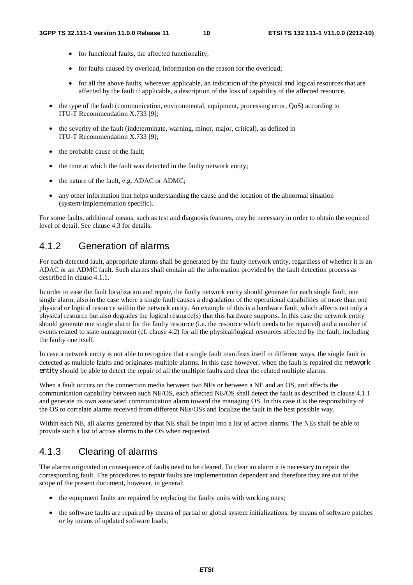- for functional faults, the affected functionality;
- for faults caused by overload, information on the reason for the overload;
- for all the above faults, wherever applicable, an indication of the physical and logical resources that are affected by the fault if applicable, a description of the loss of capability of the affected resource.
- the type of the fault (communication, environmental, equipment, processing error, QoS) according to ITU-T Recommendation X.733 [9];
- the severity of the fault (indeterminate, warning, minor, major, critical), as defined in ITU-T Recommendation X.733 [9];
- the probable cause of the fault;
- the time at which the fault was detected in the faulty network entity;
- the nature of the fault, e.g. ADAC or ADMC;
- any other information that helps understanding the cause and the location of the abnormal situation (system/implementation specific).

For some faults, additional means, such as test and diagnosis features, may be necessary in order to obtain the required level of detail. See clause 4.3 for details.

#### 4.1.2 Generation of alarms

For each detected fault, appropriate alarms shall be generated by the faulty network entity, regardless of whether it is an ADAC or an ADMC fault. Such alarms shall contain all the information provided by the fault detection process as described in clause 4.1.1.

In order to ease the fault localization and repair, the faulty network entity should generate for each single fault, one single alarm, also in the case where a single fault causes a degradation of the operational capabilities of more than one physical or logical resource within the network entity. An example of this is a hardware fault, which affects not only a physical resource but also degrades the logical resource(s) that this hardware supports. In this case the network entity should generate one single alarm for the faulty resource (i.e. the resource which needs to be repaired) and a number of events related to state management (cf. clause 4.2) for all the physical/logical resources affected by the fault, including the faulty one itself.

In case a network entity is not able to recognize that a single fault manifests itself in different ways, the single fault is detected as multiple faults and originates multiple alarms. In this case however, when the fault is repaired the network entity should be able to detect the repair of all the multiple faults and clear the related multiple alarms.

When a fault occurs on the connection media between two NEs or between a NE and an OS, and affects the communication capability between such NE/OS, each affected NE/OS shall detect the fault as described in clause 4.1.1 and generate its own associated communication alarm toward the managing OS. In this case it is the responsibility of the OS to correlate alarms received from different NEs/OSs and localize the fault in the best possible way.

Within each NE, all alarms generated by that NE shall be input into a list of active alarms. The NEs shall be able to provide such a list of active alarms to the OS when requested.

#### 4.1.3 Clearing of alarms

The alarms originated in consequence of faults need to be cleared. To clear an alarm it is necessary to repair the corresponding fault. The procedures to repair faults are implementation dependent and therefore they are out of the scope of the present document, however, in general:

- the equipment faults are repaired by replacing the faulty units with working ones;
- the software faults are repaired by means of partial or global system initializations, by means of software patches or by means of updated software loads;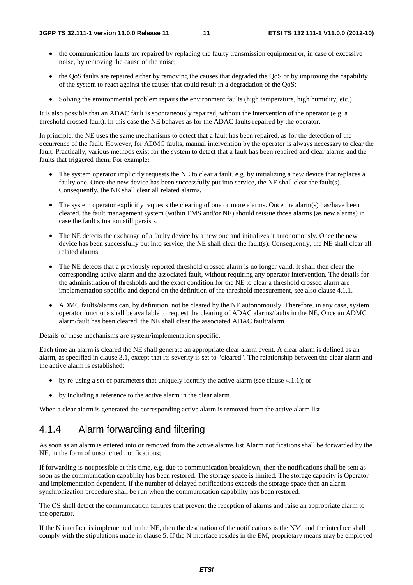- the communication faults are repaired by replacing the faulty transmission equipment or, in case of excessive noise, by removing the cause of the noise;
- the QoS faults are repaired either by removing the causes that degraded the QoS or by improving the capability of the system to react against the causes that could result in a degradation of the QoS;
- Solving the environmental problem repairs the environment faults (high temperature, high humidity, etc.).

It is also possible that an ADAC fault is spontaneously repaired, without the intervention of the operator (e.g. a threshold crossed fault). In this case the NE behaves as for the ADAC faults repaired by the operator.

In principle, the NE uses the same mechanisms to detect that a fault has been repaired, as for the detection of the occurrence of the fault. However, for ADMC faults, manual intervention by the operator is always necessary to clear the fault. Practically, various methods exist for the system to detect that a fault has been repaired and clear alarms and the faults that triggered them. For example:

- The system operator implicitly requests the NE to clear a fault, e.g. by initializing a new device that replaces a faulty one. Once the new device has been successfully put into service, the NE shall clear the fault(s). Consequently, the NE shall clear all related alarms.
- The system operator explicitly requests the clearing of one or more alarms. Once the alarm(s) has/have been cleared, the fault management system (within EMS and/or NE) should reissue those alarms (as new alarms) in case the fault situation still persists.
- The NE detects the exchange of a faulty device by a new one and initializes it autonomously. Once the new device has been successfully put into service, the NE shall clear the fault(s). Consequently, the NE shall clear all related alarms.
- The NE detects that a previously reported threshold crossed alarm is no longer valid. It shall then clear the corresponding active alarm and the associated fault, without requiring any operator intervention. The details for the administration of thresholds and the exact condition for the NE to clear a threshold crossed alarm are implementation specific and depend on the definition of the threshold measurement, see also clause 4.1.1.
- ADMC faults/alarms can, by definition, not be cleared by the NE autonomously. Therefore, in any case, system operator functions shall be available to request the clearing of ADAC alarms/faults in the NE. Once an ADMC alarm/fault has been cleared, the NE shall clear the associated ADAC fault/alarm.

Details of these mechanisms are system/implementation specific.

Each time an alarm is cleared the NE shall generate an appropriate clear alarm event. A clear alarm is defined as an alarm, as specified in clause 3.1, except that its severity is set to "cleared". The relationship between the clear alarm and the active alarm is established:

- by re-using a set of parameters that uniquely identify the active alarm (see clause 4.1.1); or
- by including a reference to the active alarm in the clear alarm.

When a clear alarm is generated the corresponding active alarm is removed from the active alarm list.

#### 4.1.4 Alarm forwarding and filtering

As soon as an alarm is entered into or removed from the active alarms list Alarm notifications shall be forwarded by the NE, in the form of unsolicited notifications;

If forwarding is not possible at this time, e.g. due to communication breakdown, then the notifications shall be sent as soon as the communication capability has been restored. The storage space is limited. The storage capacity is Operator and implementation dependent. If the number of delayed notifications exceeds the storage space then an alarm synchronization procedure shall be run when the communication capability has been restored.

The OS shall detect the communication failures that prevent the reception of alarms and raise an appropriate alarm to the operator.

If the N interface is implemented in the NE, then the destination of the notifications is the NM, and the interface shall comply with the stipulations made in clause 5. If the N interface resides in the EM, proprietary means may be employed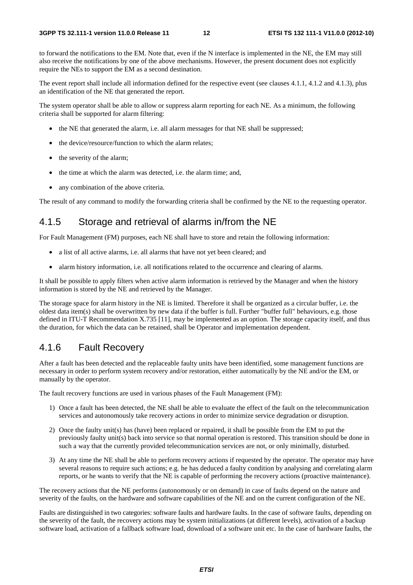to forward the notifications to the EM. Note that, even if the N interface is implemented in the NE, the EM may still also receive the notifications by one of the above mechanisms. However, the present document does not explicitly require the NEs to support the EM as a second destination.

The event report shall include all information defined for the respective event (see clauses 4.1.1, 4.1.2 and 4.1.3), plus an identification of the NE that generated the report.

The system operator shall be able to allow or suppress alarm reporting for each NE. As a minimum, the following criteria shall be supported for alarm filtering:

- the NE that generated the alarm, i.e. all alarm messages for that NE shall be suppressed;
- the device/resource/function to which the alarm relates;
- the severity of the alarm;
- the time at which the alarm was detected, i.e. the alarm time; and,
- any combination of the above criteria.

The result of any command to modify the forwarding criteria shall be confirmed by the NE to the requesting operator.

#### 4.1.5 Storage and retrieval of alarms in/from the NE

For Fault Management (FM) purposes, each NE shall have to store and retain the following information:

- a list of all active alarms, i.e. all alarms that have not yet been cleared; and
- alarm history information, i.e. all notifications related to the occurrence and clearing of alarms.

It shall be possible to apply filters when active alarm information is retrieved by the Manager and when the history information is stored by the NE and retrieved by the Manager.

The storage space for alarm history in the NE is limited. Therefore it shall be organized as a circular buffer, i.e. the oldest data item(s) shall be overwritten by new data if the buffer is full. Further "buffer full" behaviours, e.g. those defined in ITU-T Recommendation X.735 [11], may be implemented as an option. The storage capacity itself, and thus the duration, for which the data can be retained, shall be Operator and implementation dependent.

#### 4.1.6 Fault Recovery

After a fault has been detected and the replaceable faulty units have been identified, some management functions are necessary in order to perform system recovery and/or restoration, either automatically by the NE and/or the EM, or manually by the operator.

The fault recovery functions are used in various phases of the Fault Management (FM):

- 1) Once a fault has been detected, the NE shall be able to evaluate the effect of the fault on the telecommunication services and autonomously take recovery actions in order to minimize service degradation or disruption.
- 2) Once the faulty unit(s) has (have) been replaced or repaired, it shall be possible from the EM to put the previously faulty unit(s) back into service so that normal operation is restored. This transition should be done in such a way that the currently provided telecommunication services are not, or only minimally, disturbed.
- 3) At any time the NE shall be able to perform recovery actions if requested by the operator. The operator may have several reasons to require such actions; e.g. he has deduced a faulty condition by analysing and correlating alarm reports, or he wants to verify that the NE is capable of performing the recovery actions (proactive maintenance).

The recovery actions that the NE performs (autonomously or on demand) in case of faults depend on the nature and severity of the faults, on the hardware and software capabilities of the NE and on the current configuration of the NE.

Faults are distinguished in two categories: software faults and hardware faults. In the case of software faults, depending on the severity of the fault, the recovery actions may be system initializations (at different levels), activation of a backup software load, activation of a fallback software load, download of a software unit etc. In the case of hardware faults, the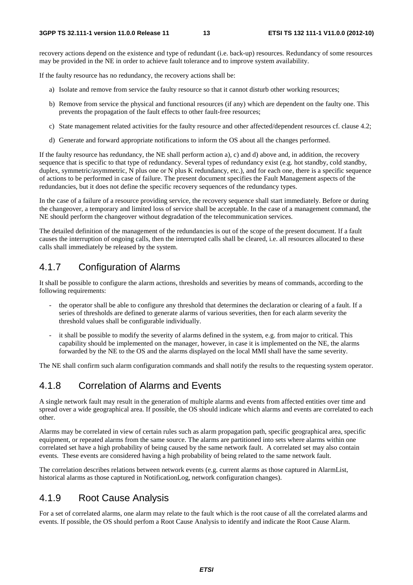recovery actions depend on the existence and type of redundant (i.e. back-up) resources. Redundancy of some resources may be provided in the NE in order to achieve fault tolerance and to improve system availability.

If the faulty resource has no redundancy, the recovery actions shall be:

- a) Isolate and remove from service the faulty resource so that it cannot disturb other working resources;
- b) Remove from service the physical and functional resources (if any) which are dependent on the faulty one. This prevents the propagation of the fault effects to other fault-free resources;
- c) State management related activities for the faulty resource and other affected/dependent resources cf. clause 4.2;
- d) Generate and forward appropriate notifications to inform the OS about all the changes performed.

If the faulty resource has redundancy, the NE shall perform action a), c) and d) above and, in addition, the recovery sequence that is specific to that type of redundancy. Several types of redundancy exist (e.g. hot standby, cold standby, duplex, symmetric/asymmetric, N plus one or N plus K redundancy, etc.), and for each one, there is a specific sequence of actions to be performed in case of failure. The present document specifies the Fault Management aspects of the redundancies, but it does not define the specific recovery sequences of the redundancy types.

In the case of a failure of a resource providing service, the recovery sequence shall start immediately. Before or during the changeover, a temporary and limited loss of service shall be acceptable. In the case of a management command, the NE should perform the changeover without degradation of the telecommunication services.

The detailed definition of the management of the redundancies is out of the scope of the present document. If a fault causes the interruption of ongoing calls, then the interrupted calls shall be cleared, i.e. all resources allocated to these calls shall immediately be released by the system.

#### 4.1.7 Configuration of Alarms

It shall be possible to configure the alarm actions, thresholds and severities by means of commands, according to the following requirements:

- the operator shall be able to configure any threshold that determines the declaration or clearing of a fault. If a series of thresholds are defined to generate alarms of various severities, then for each alarm severity the threshold values shall be configurable individually.
- it shall be possible to modify the severity of alarms defined in the system, e.g. from major to critical. This capability should be implemented on the manager, however, in case it is implemented on the NE, the alarms forwarded by the NE to the OS and the alarms displayed on the local MMI shall have the same severity.

The NE shall confirm such alarm configuration commands and shall notify the results to the requesting system operator.

#### 4.1.8 Correlation of Alarms and Events

A single network fault may result in the generation of multiple alarms and events from affected entities over time and spread over a wide geographical area. If possible, the OS should indicate which alarms and events are correlated to each other.

Alarms may be correlated in view of certain rules such as alarm propagation path, specific geographical area, specific equipment, or repeated alarms from the same source. The alarms are partitioned into sets where alarms within one correlated set have a high probability of being caused by the same network fault. A correlated set may also contain events. These events are considered having a high probability of being related to the same network fault.

The correlation describes relations between network events (e.g. current alarms as those captured in AlarmList, historical alarms as those captured in NotificationLog, network configuration changes).

#### 4.1.9 Root Cause Analysis

For a set of correlated alarms, one alarm may relate to the fault which is the root cause of all the correlated alarms and events. If possible, the OS should perfom a Root Cause Analysis to identify and indicate the Root Cause Alarm.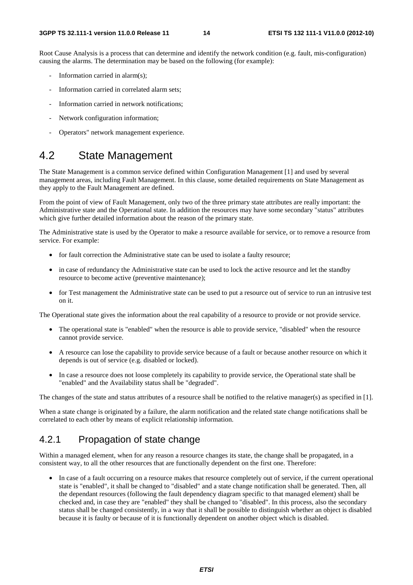Root Cause Analysis is a process that can determine and identify the network condition (e.g. fault, mis-configuration) causing the alarms. The determination may be based on the following (for example):

- Information carried in alarm $(s)$ ;
- Information carried in correlated alarm sets:
- Information carried in network notifications:
- Network configuration information;
- Operators" network management experience.

#### 4.2 State Management

The State Management is a common service defined within Configuration Management [1] and used by several management areas, including Fault Management. In this clause, some detailed requirements on State Management as they apply to the Fault Management are defined.

From the point of view of Fault Management, only two of the three primary state attributes are really important: the Administrative state and the Operational state. In addition the resources may have some secondary "status" attributes which give further detailed information about the reason of the primary state.

The Administrative state is used by the Operator to make a resource available for service, or to remove a resource from service. For example:

- for fault correction the Administrative state can be used to isolate a faulty resource;
- in case of redundancy the Administrative state can be used to lock the active resource and let the standby resource to become active (preventive maintenance);
- for Test management the Administrative state can be used to put a resource out of service to run an intrusive test on it.

The Operational state gives the information about the real capability of a resource to provide or not provide service.

- The operational state is "enabled" when the resource is able to provide service, "disabled" when the resource cannot provide service.
- A resource can lose the capability to provide service because of a fault or because another resource on which it depends is out of service (e.g. disabled or locked).
- In case a resource does not loose completely its capability to provide service, the Operational state shall be "enabled" and the Availability status shall be "degraded".

The changes of the state and status attributes of a resource shall be notified to the relative manager(s) as specified in [1].

When a state change is originated by a failure, the alarm notification and the related state change notifications shall be correlated to each other by means of explicit relationship information.

#### 4.2.1 Propagation of state change

Within a managed element, when for any reason a resource changes its state, the change shall be propagated, in a consistent way, to all the other resources that are functionally dependent on the first one. Therefore:

• In case of a fault occurring on a resource makes that resource completely out of service, if the current operational state is "enabled", it shall be changed to "disabled" and a state change notification shall be generated. Then, all the dependant resources (following the fault dependency diagram specific to that managed element) shall be checked and, in case they are "enabled" they shall be changed to "disabled". In this process, also the secondary status shall be changed consistently, in a way that it shall be possible to distinguish whether an object is disabled because it is faulty or because of it is functionally dependent on another object which is disabled.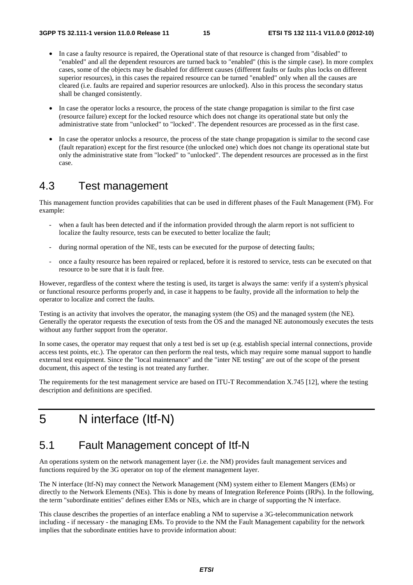- In case a faulty resource is repaired, the Operational state of that resource is changed from "disabled" to "enabled" and all the dependent resources are turned back to "enabled" (this is the simple case). In more complex cases, some of the objects may be disabled for different causes (different faults or faults plus locks on different superior resources), in this cases the repaired resource can be turned "enabled" only when all the causes are cleared (i.e. faults are repaired and superior resources are unlocked). Also in this process the secondary status shall be changed consistently.
- In case the operator locks a resource, the process of the state change propagation is similar to the first case (resource failure) except for the locked resource which does not change its operational state but only the administrative state from "unlocked" to "locked". The dependent resources are processed as in the first case.
- In case the operator unlocks a resource, the process of the state change propagation is similar to the second case (fault reparation) except for the first resource (the unlocked one) which does not change its operational state but only the administrative state from "locked" to "unlocked". The dependent resources are processed as in the first case.

#### 4.3 Test management

This management function provides capabilities that can be used in different phases of the Fault Management (FM). For example:

- when a fault has been detected and if the information provided through the alarm report is not sufficient to localize the faulty resource, tests can be executed to better localize the fault;
- during normal operation of the NE, tests can be executed for the purpose of detecting faults;
- once a faulty resource has been repaired or replaced, before it is restored to service, tests can be executed on that resource to be sure that it is fault free.

However, regardless of the context where the testing is used, its target is always the same: verify if a system's physical or functional resource performs properly and, in case it happens to be faulty, provide all the information to help the operator to localize and correct the faults.

Testing is an activity that involves the operator, the managing system (the OS) and the managed system (the NE). Generally the operator requests the execution of tests from the OS and the managed NE autonomously executes the tests without any further support from the operator.

In some cases, the operator may request that only a test bed is set up (e.g. establish special internal connections, provide access test points, etc.). The operator can then perform the real tests, which may require some manual support to handle external test equipment. Since the "local maintenance" and the "inter NE testing" are out of the scope of the present document, this aspect of the testing is not treated any further.

The requirements for the test management service are based on ITU-T Recommendation X.745 [12], where the testing description and definitions are specified.

## 5 N interface (Itf-N)

### 5.1 Fault Management concept of Itf-N

An operations system on the network management layer (i.e. the NM) provides fault management services and functions required by the 3G operator on top of the element management layer.

The N interface (Itf-N) may connect the Network Management (NM) system either to Element Mangers (EMs) or directly to the Network Elements (NEs). This is done by means of Integration Reference Points (IRPs). In the following, the term "subordinate entities" defines either EMs or NEs, which are in charge of supporting the N interface.

This clause describes the properties of an interface enabling a NM to supervise a 3G-telecommunication network including - if necessary - the managing EMs. To provide to the NM the Fault Management capability for the network implies that the subordinate entities have to provide information about: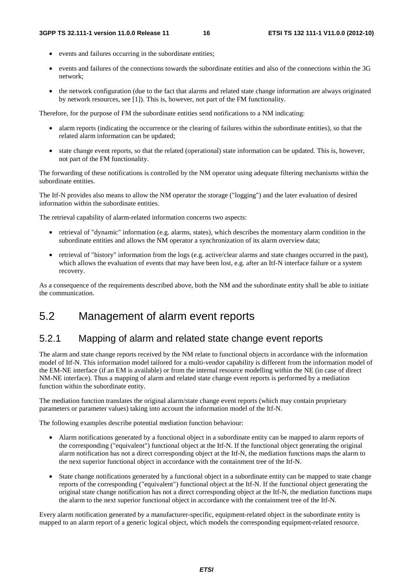- events and failures occurring in the subordinate entities;
- events and failures of the connections towards the subordinate entities and also of the connections within the 3G network;
- the network configuration (due to the fact that alarms and related state change information are always originated by network resources, see [1]). This is, however, not part of the FM functionality.

Therefore, for the purpose of FM the subordinate entities send notifications to a NM indicating:

- alarm reports (indicating the occurrence or the clearing of failures within the subordinate entities), so that the related alarm information can be updated;
- state change event reports, so that the related (operational) state information can be updated. This is, however, not part of the FM functionality.

The forwarding of these notifications is controlled by the NM operator using adequate filtering mechanisms within the subordinate entities.

The Itf-N provides also means to allow the NM operator the storage ("logging") and the later evaluation of desired information within the subordinate entities.

The retrieval capability of alarm-related information concerns two aspects:

- retrieval of "dynamic" information (e.g. alarms, states), which describes the momentary alarm condition in the subordinate entities and allows the NM operator a synchronization of its alarm overview data;
- retrieval of "history" information from the logs (e.g. active/clear alarms and state changes occurred in the past), which allows the evaluation of events that may have been lost, e.g. after an Itf-N interface failure or a system recovery.

As a consequence of the requirements described above, both the NM and the subordinate entity shall be able to initiate the communication.

#### 5.2 Management of alarm event reports

#### 5.2.1 Mapping of alarm and related state change event reports

The alarm and state change reports received by the NM relate to functional objects in accordance with the information model of Itf-N. This information model tailored for a multi-vendor capability is different from the information model of the EM-NE interface (if an EM is available) or from the internal resource modelling within the NE (in case of direct NM-NE interface). Thus a mapping of alarm and related state change event reports is performed by a mediation function within the subordinate entity.

The mediation function translates the original alarm/state change event reports (which may contain proprietary parameters or parameter values) taking into account the information model of the Itf-N.

The following examples describe potential mediation function behaviour:

- Alarm notifications generated by a functional object in a subordinate entity can be mapped to alarm reports of the corresponding ("equivalent") functional object at the Itf-N. If the functional object generating the original alarm notification has not a direct corresponding object at the Itf-N, the mediation functions maps the alarm to the next superior functional object in accordance with the containment tree of the Itf-N.
- State change notifications generated by a functional object in a subordinate entity can be mapped to state change reports of the corresponding ("equivalent") functional object at the Itf-N. If the functional object generating the original state change notification has not a direct corresponding object at the Itf-N, the mediation functions maps the alarm to the next superior functional object in accordance with the containment tree of the Itf-N.

Every alarm notification generated by a manufacturer-specific, equipment-related object in the subordinate entity is mapped to an alarm report of a generic logical object, which models the corresponding equipment-related resource.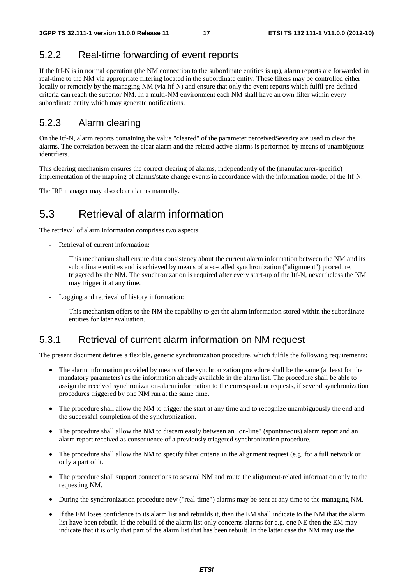#### 5.2.2 Real-time forwarding of event reports

If the Itf-N is in normal operation (the NM connection to the subordinate entities is up), alarm reports are forwarded in real-time to the NM via appropriate filtering located in the subordinate entity. These filters may be controlled either locally or remotely by the managing NM (via Itf-N) and ensure that only the event reports which fulfil pre-defined criteria can reach the superior NM. In a multi-NM environment each NM shall have an own filter within every subordinate entity which may generate notifications.

#### 5.2.3 Alarm clearing

On the Itf-N, alarm reports containing the value "cleared" of the parameter perceivedSeverity are used to clear the alarms. The correlation between the clear alarm and the related active alarms is performed by means of unambiguous identifiers.

This clearing mechanism ensures the correct clearing of alarms, independently of the (manufacturer-specific) implementation of the mapping of alarms/state change events in accordance with the information model of the Itf-N.

The IRP manager may also clear alarms manually.

### 5.3 Retrieval of alarm information

The retrieval of alarm information comprises two aspects:

Retrieval of current information:

 This mechanism shall ensure data consistency about the current alarm information between the NM and its subordinate entities and is achieved by means of a so-called synchronization ("alignment") procedure, triggered by the NM. The synchronization is required after every start-up of the Itf-N, nevertheless the NM may trigger it at any time.

- Logging and retrieval of history information:

 This mechanism offers to the NM the capability to get the alarm information stored within the subordinate entities for later evaluation.

#### 5.3.1 Retrieval of current alarm information on NM request

The present document defines a flexible, generic synchronization procedure, which fulfils the following requirements:

- The alarm information provided by means of the synchronization procedure shall be the same (at least for the mandatory parameters) as the information already available in the alarm list. The procedure shall be able to assign the received synchronization-alarm information to the correspondent requests, if several synchronization procedures triggered by one NM run at the same time.
- The procedure shall allow the NM to trigger the start at any time and to recognize unambiguously the end and the successful completion of the synchronization.
- The procedure shall allow the NM to discern easily between an "on-line" (spontaneous) alarm report and an alarm report received as consequence of a previously triggered synchronization procedure.
- The procedure shall allow the NM to specify filter criteria in the alignment request (e.g. for a full network or only a part of it.
- The procedure shall support connections to several NM and route the alignment-related information only to the requesting NM.
- During the synchronization procedure new ("real-time") alarms may be sent at any time to the managing NM.
- If the EM loses confidence to its alarm list and rebuilds it, then the EM shall indicate to the NM that the alarm list have been rebuilt. If the rebuild of the alarm list only concerns alarms for e.g. one NE then the EM may indicate that it is only that part of the alarm list that has been rebuilt. In the latter case the NM may use the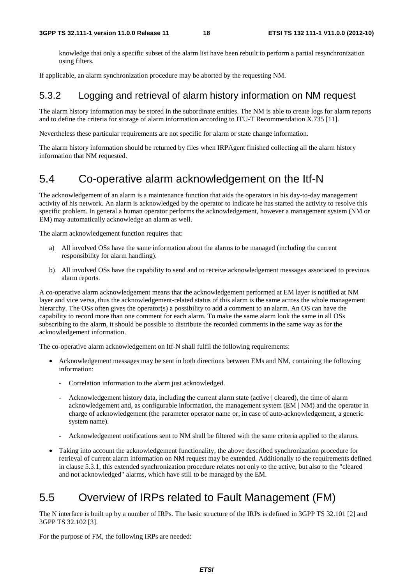knowledge that only a specific subset of the alarm list have been rebuilt to perform a partial resynchronization using filters.

If applicable, an alarm synchronization procedure may be aborted by the requesting NM.

#### 5.3.2 Logging and retrieval of alarm history information on NM request

The alarm history information may be stored in the subordinate entities. The NM is able to create logs for alarm reports and to define the criteria for storage of alarm information according to ITU-T Recommendation X.735 [11].

Nevertheless these particular requirements are not specific for alarm or state change information.

The alarm history information should be returned by files when IRPAgent finished collecting all the alarm history information that NM requested.

#### 5.4 Co-operative alarm acknowledgement on the Itf-N

The acknowledgement of an alarm is a maintenance function that aids the operators in his day-to-day management activity of his network. An alarm is acknowledged by the operator to indicate he has started the activity to resolve this specific problem. In general a human operator performs the acknowledgement, however a management system (NM or EM) may automatically acknowledge an alarm as well.

The alarm acknowledgement function requires that:

- a) All involved OSs have the same information about the alarms to be managed (including the current responsibility for alarm handling).
- b) All involved OSs have the capability to send and to receive acknowledgement messages associated to previous alarm reports.

A co-operative alarm acknowledgement means that the acknowledgement performed at EM layer is notified at NM layer and vice versa, thus the acknowledgement-related status of this alarm is the same across the whole management hierarchy. The OSs often gives the operator(s) a possibility to add a comment to an alarm. An OS can have the capability to record more than one comment for each alarm. To make the same alarm look the same in all OSs subscribing to the alarm, it should be possible to distribute the recorded comments in the same way as for the acknowledgement information.

The co-operative alarm acknowledgement on Itf-N shall fulfil the following requirements:

- Acknowledgement messages may be sent in both directions between EMs and NM, containing the following information:
	- Correlation information to the alarm just acknowledged.
	- Acknowledgement history data, including the current alarm state (active | cleared), the time of alarm acknowledgement and, as configurable information, the management system (EM | NM) and the operator in charge of acknowledgement (the parameter operator name or, in case of auto-acknowledgement, a generic system name).
	- Acknowledgement notifications sent to NM shall be filtered with the same criteria applied to the alarms.
- Taking into account the acknowledgement functionality, the above described synchronization procedure for retrieval of current alarm information on NM request may be extended. Additionally to the requirements defined in clause 5.3.1, this extended synchronization procedure relates not only to the active, but also to the "cleared and not acknowledged" alarms, which have still to be managed by the EM.

### 5.5 Overview of IRPs related to Fault Management (FM)

The N interface is built up by a number of IRPs. The basic structure of the IRPs is defined in 3GPP TS 32.101 [2] and 3GPP TS 32.102 [3].

For the purpose of FM, the following IRPs are needed: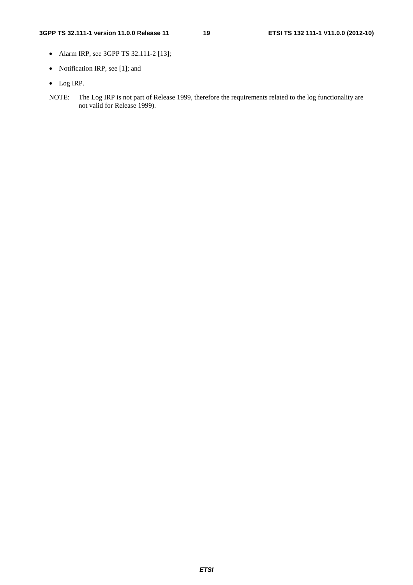#### **3GPP TS 32.111-1 version 11.0.0 Release 11 19 ETSI TS 132 111-1 V11.0.0 (2012-10)**

- Alarm IRP, see 3GPP TS 32.111-2 [13];
- Notification IRP, see [1]; and
- Log IRP.
- NOTE: The Log IRP is not part of Release 1999, therefore the requirements related to the log functionality are not valid for Release 1999).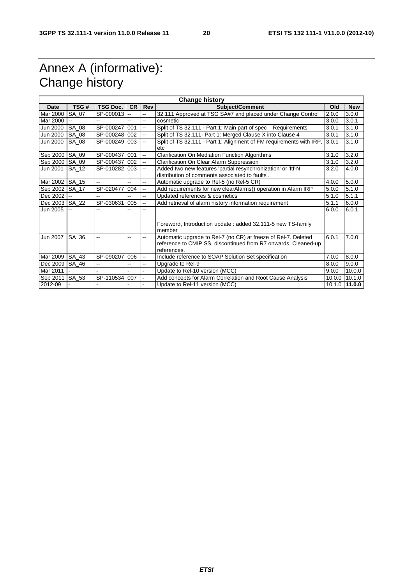# Annex A (informative): Change history

| <b>Change history</b> |              |                 |                |                           |                                                                                                                                                 |        |               |
|-----------------------|--------------|-----------------|----------------|---------------------------|-------------------------------------------------------------------------------------------------------------------------------------------------|--------|---------------|
| <b>Date</b>           | TSG#         | <b>TSG Doc.</b> | <b>CR</b>      | Rev                       | <b>Subject/Comment</b>                                                                                                                          | Old    | <b>New</b>    |
| Mar 2000              | SA 07        | SP-000013       |                | Щ,                        | 32.111 Approved at TSG SA#7 and placed under Change Control                                                                                     | 2.0.0  | 3.0.0         |
| Mar 2000              |              |                 |                | $\overline{a}$            | cosmetic                                                                                                                                        | 3.0.0  | 3.0.1         |
| Jun 2000              | SA 08        | SP-000247 001   |                | цü.                       | Split of TS 32.111 - Part 1: Main part of spec - Requirements                                                                                   | 3.0.1  | 3.1.0         |
| Jun 2000              | SA 08        | SP-000248 002   |                | цü.                       | Split of TS 32.111- Part 1: Merged Clause X into Clause 4                                                                                       | 3.0.1  | 3.1.0         |
| Jun 2000              | SA 08        | SP-000249 003   |                | $\mathbf{L}$              | Split of TS 32.111 - Part 1: Alignment of FM requirements with IRP,<br>etc                                                                      | 3.0.1  | 3.1.0         |
| Sep 2000 SA_09        |              | SP-000437 001   |                | $\mathbf{r}$              | <b>Clarification On Mediation Function Algorithms</b>                                                                                           | 3.1.0  | 3.2.0         |
| Sep 2000 SA_09        |              | SP-000437 002   |                | $\mathbb{L}^2$            | Clarification On Clear Alarm Suppression                                                                                                        | 3.1.0  | 3.2.0         |
| Jun 2001              | <b>SA 12</b> | SP-0102821003   |                | Щ,                        | Added two new features 'partial resynchronization' or 'ltf-N<br>distribution of comments associated to faults'.                                 | 3.2.0  | 4.0.0         |
| Mar 2002              | <b>SA 15</b> | --              | $- -$          | $\overline{a}$            | Automatic upgrade to Rel-5 (no Rel-5 CR)                                                                                                        | 4.0.0  | 5.0.0         |
| Sep 2002              | SA 17        | SP-020477       | 004            | -−                        | Add requirements for new clearAlarms() operation in Alarm IRP                                                                                   | 5.0.0  | 5.1.0         |
| Dec 2002              |              |                 |                | --                        | Updated references & cosmetics                                                                                                                  | 5.1.0  | 5.1.1         |
| Dec 2003 SA_22        |              | SP-030631       | 005            | $\mathbb{L}^{\mathbb{L}}$ | Add retrieval of alarm history information requirement                                                                                          | 5.1.1  | 6.0.0         |
| Jun 2005              |              |                 |                | --                        | Foreword, Introduction update: added 32.111-5 new TS-family<br>member                                                                           | 6.0.0  | 6.0.1         |
| Jun 2007              | SA 36        | --              | --             | --                        | Automatic upgrade to Rel-7 (no CR) at freeze of Rel-7. Deleted<br>reference to CMIP SS, discontinued from R7 onwards. Cleaned-up<br>references. | 6.0.1  | 7.0.0         |
| Mar 2009              | SA 43        | SP-090207       | 006            | $\sim$ $\sim$             | Include reference to SOAP Solution Set specification                                                                                            | 7.0.0  | 8.0.0         |
| Dec 2009              | SA_46        | шш.             | $\overline{a}$ | Щ,                        | Upgrade to Rel-9                                                                                                                                | 8.0.0  | 9.0.0         |
| Mar 2011              |              |                 |                | ÷.                        | Update to Rel-10 version (MCC)                                                                                                                  | 9.0.0  | 10.0.0        |
| Sep 2011              | SA_53        | SP-110534 007   |                |                           | Add concepts for Alarm Correlation and Root Cause Analysis                                                                                      | 10.0.0 | 10.1.0        |
| 2012-09               |              |                 |                |                           | Update to Rel-11 version (MCC)                                                                                                                  |        | 10.1.0 11.0.0 |